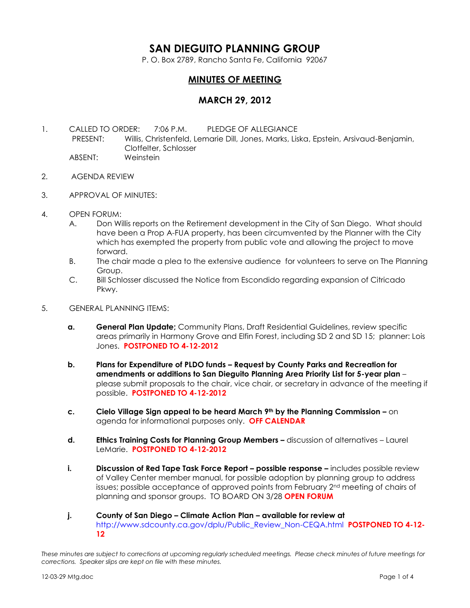# **SAN DIEGUITO PLANNING GROUP**

P. O. Box 2789, Rancho Santa Fe, California 92067

# **MINUTES OF MEETING**

## **MARCH 29, 2012**

- 1. CALLED TO ORDER: 7:06 P.M. PLEDGE OF ALLEGIANCE PRESENT: Willis, Christenfeld, Lemarie Dill, Jones, Marks, Liska, Epstein, Arsivaud-Benjamin, Clotfelter, Schlosser ABSENT: Weinstein
- 2. AGENDA REVIEW
- 3. APPROVAL OF MINUTES:
- 4. OPEN FORUM:
	- A. Don Willis reports on the Retirement development in the City of San Diego. What should have been a Prop A-FUA property, has been circumvented by the Planner with the City which has exempted the property from public vote and allowing the project to move forward.
	- B. The chair made a plea to the extensive audience for volunteers to serve on The Planning Group.
	- C. Bill Schlosser discussed the Notice from Escondido regarding expansion of Citricado Pkwy.
- 5. GENERAL PLANNING ITEMS:
	- **a. General Plan Update;** Community Plans, Draft Residential Guidelines, review specific areas primarily in Harmony Grove and Elfin Forest, including SD 2 and SD 15; planner: Lois Jones. **POSTPONED TO 4-12-2012**
	- **b. Plans for Expenditure of PLDO funds – Request by County Parks and Recreation for amendments or additions to San Dieguito Planning Area Priority List for 5-year plan** – please submit proposals to the chair, vice chair, or secretary in advance of the meeting if possible. **POSTPONED TO 4-12-2012**
	- **c. Cielo Village Sign appeal to be heard March 9th by the Planning Commission –** on agenda for informational purposes only. **OFF CALENDAR**
	- **d. Ethics Training Costs for Planning Group Members –** discussion of alternatives Laurel LeMarie. **POSTPONED TO 4-12-2012**
	- **i. Discussion of Red Tape Task Force Report possible response –** includes possible review of Valley Center member manual, for possible adoption by planning group to address issues; possible acceptance of approved points from February 2nd meeting of chairs of planning and sponsor groups. TO BOARD ON 3/28 **OPEN FORUM**
	- **j. County of San Diego – Climate Action Plan – available for review at**  [http://www.sdcounty.ca.gov/dplu/Public\\_Review\\_Non-CEQA.html](http://www.sdcounty.ca.gov/dplu/Public_Review_Non-CEQA.html) **POSTPONED TO 4-12- 12**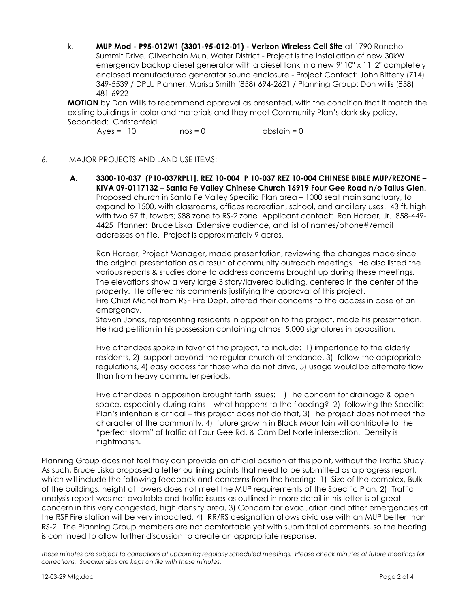k. **MUP Mod - P95-012W1 (3301-95-012-01) - Verizon Wireless Cell Site** at 1790 Rancho Summit Drive, Olivenhain Mun. Water District - Project is the installation of new 30kW emergency backup diesel generator with a diesel tank in a new 9' 10" x 11' 2" completely enclosed manufactured generator sound enclosure - Project Contact: John Bitterly (714) 349-5539 / DPLU Planner: Marisa Smith (858) 694-2621 / Planning Group: Don willis (858) 481-6922

**MOTION** by Don Willis to recommend approval as presented, with the condition that it match the existing buildings in color and materials and they meet Community Plan's dark sky policy. Seconded: Christenfeld

 $Ayes = 10$   $nos = 0$   $abstain = 0$ 

#### 6. MAJOR PROJECTS AND LAND USE ITEMS:

**A. 3300-10-037 (P10-037RPL1], REZ 10-004 P 10-037 REZ 10-004 CHINESE BIBLE MUP/REZONE – KIVA 09-0117132 – Santa Fe Valley Chinese Church 16919 Four Gee Road n/o Tallus Glen.**  Proposed church in Santa Fe Valley Specific Plan area – 1000 seat main sanctuary, to expand to 1500, with classrooms, offices recreation, school, and ancillary uses. 43 ft. high with two 57 ft. towers; S88 zone to RS-2 zone Applicant contact: Ron Harper, Jr. 858-449- 4425 Planner: Bruce Liska Extensive audience, and list of names/phone#/email addresses on file. Project is approximately 9 acres.

Ron Harper, Project Manager, made presentation, reviewing the changes made since the original presentation as a result of community outreach meetings. He also listed the various reports & studies done to address concerns brought up during these meetings. The elevations show a very large 3 story/layered building, centered in the center of the property. He offered his comments justifying the approval of this project. Fire Chief Michel from RSF Fire Dept. offered their concerns to the access in case of an

emergency.

Steven Jones, representing residents in opposition to the project, made his presentation. He had petition in his possession containing almost 5,000 signatures in opposition.

Five attendees spoke in favor of the project, to include: 1) importance to the elderly residents, 2) support beyond the regular church attendance, 3) follow the appropriate regulations, 4) easy access for those who do not drive, 5) usage would be alternate flow than from heavy commuter periods,

Five attendees in opposition brought forth issues: 1) The concern for drainage & open space, especially during rains – what happens to the flooding? 2) following the Specific Plan's intention is critical – this project does not do that, 3) The project does not meet the character of the community, 4) future growth in Black Mountain will contribute to the "perfect storm" of traffic at Four Gee Rd. & Cam Del Norte intersection. Density is nightmarish.

Planning Group does not feel they can provide an official position at this point, without the Traffic Study. As such, Bruce Liska proposed a letter outlining points that need to be submitted as a progress report, which will include the following feedback and concerns from the hearing: 1) Size of the complex, Bulk of the buildings, height of towers does not meet the MUP requirements of the Specific Plan, 2) Traffic analysis report was not available and traffic issues as outlined in more detail in his letter is of great concern in this very congested, high density area, 3) Concern for evacuation and other emergencies at the RSF Fire station will be very impacted, 4) RR/RS designation allows civic use with an MUP better than RS-2. The Planning Group members are not comfortable yet with submittal of comments, so the hearing is continued to allow further discussion to create an appropriate response.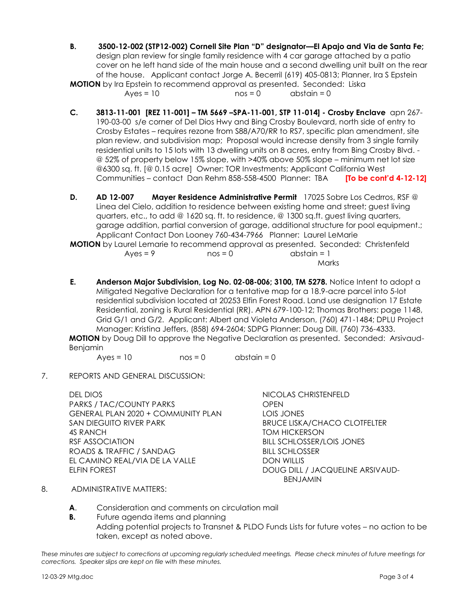B. **3500-12-002 (STP12-002) Cornell Site Plan "D" designator—El Apajo and Via de Santa Fe;** design plan review for single family residence with 4 car garage attached by a patio cover on he left hand side of the main house and a second dwelling unit built on the rear of the house. Applicant contact Jorge A. Becerril (619) 405-0813; Planner, Ira S Epstein **MOTION** by Ira Epstein to recommend approval as presented. Seconded: Liska

 $Ayes = 10$  nos = 0 abstain = 0

- **C. 3813-11-001 [REZ 11-001] – TM 5669 –SPA-11-001, STP 11-014] - Crosby Enclave** apn 267- 190-03-00 s/e corner of Del Dios Hwy and Bing Crosby Boulevard, north side of entry to Crosby Estates – requires rezone from S88/A70/RR to RS7, specific plan amendment, site plan review, and subdivision map; Proposal would increase density from 3 single family residential units to 15 lots with 13 dwelling units on 8 acres, entry from Bing Crosby Blvd. - @ 52% of property below 15% slope, with >40% above 50% slope – minimum net lot size @6300 sq. ft. [@ 0.15 acre] Owner: TOR Investments; Applicant California West Communities – contact Dan Rehm 858-558-4500 Planner: TBA **[To be cont'd 4-12-12]**
- **D. AD 12-007 Mayer Residence Administrative Permit** 17025 Sobre Los Cedrros, RSF @ Linea del Cielo, addition to residence between existing home and street; guest living quarters, etc., to add @ 1620 sq. ft. to residence, @ 1300 sq.ft. guest living quarters, garage addition, partial conversion of garage, additional structure for pool equipment.; Applicant Contact Don Looney 760-434-7966 Planner: Laurel LeMarie **MOTION** by Laurel Lemarie to recommend approval as presented. Seconded: Christenfeld

|            |           | LDY LUUIGI LEITIUIIE TUTECUITIITIEITU UDDIUVUI US DIESEITIEU.  SECULIUEU.  CHIISIEI |  |
|------------|-----------|-------------------------------------------------------------------------------------|--|
| $Aves = 9$ | $nos = 0$ | abstain = 1                                                                         |  |
|            | Marks     |                                                                                     |  |

**E. Anderson Major Subdivision, Log No. 02-08-006; 3100, TM 5278.** Notice Intent to adopt a Mitigated Negative Declaration for a tentative map for a 18.9-acre parcel into 5-lot residential subdivision located at 20253 Elfin Forest Road. Land use designation 17 Estate Residential, zoning is Rural Residential (RR). APN 679-100-12; Thomas Brothers: page 1148, Grid G/1 and G/2. Applicant: Albert and Violeta Anderson, (760) 471-1484; DPLU Project Manager: Kristina Jeffers, (858) 694-2604; SDPG Planner: Doug Dill, (760) 736-4333. **MOTION** by Doug Dill to approve the Negative Declaration as presented. Seconded: Arsivaud-**Benjamin** 

 $Aves = 10$   $nos = 0$   $abstain = 0$ 

7. REPORTS AND GENERAL DISCUSSION:

DEL DIOS NICOLAS CHRISTENFELD PARKS / TAC/COUNTY PARKS COPEN GENERAL PLAN 2020 + COMMUNITY PLAN LOIS JONES SAN DIEGUITO RIVER PARK BRUCE LISKA/CHACO CLOTFELTER 4S RANCH TOM HICKERSON RSF ASSOCIATION BILL SCHLOSSER/LOIS JONES ROADS & TRAFFIC / SANDAG BILL SCHLOSSER EL CAMINO REAL/VIA DE LA VALLE DON WILLIS ELFIN FOREST DOUG DILL / JACQUELINE ARSIVAUD-

BENJAMIN

- 8. ADMINISTRATIVE MATTERS:
	- **A**. Consideration and comments on circulation mail
	- **B.** Future agenda items and planning Adding potential projects to Transnet & PLDO Funds Lists for future votes – no action to be taken, except as noted above.